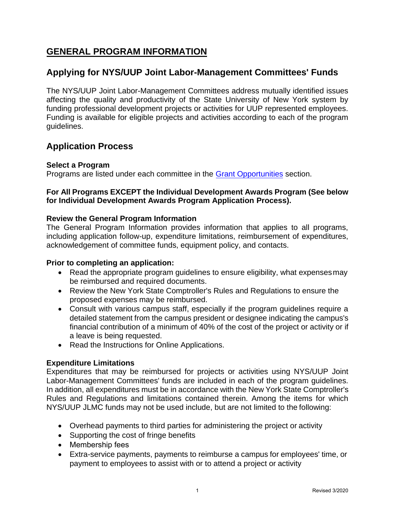# **GENERAL PROGRAM INFORMATION**

# **Applying for NYS/UUP Joint Labor-Management Committees' Funds**

The NYS/UUP Joint Labor-Management Committees address mutually identified issues affecting the quality and productivity of the State University of New York system by funding professional development projects or activities for UUP represented employees. Funding is available for eligible projects and activities according to each of the program guidelines.

# **Application Process**

## **Select a Program**

Programs are listed under each committee in the [Grant Opportunities](https://oer.ny.gov/grant-opportunities) section.

## **For All Programs EXCEPT the Individual Development Awards Program (See below for Individual Development Awards Program Application Process).**

## **Review the General Program Information**

The General Program Information provides information that applies to all programs, including application follow-up, expenditure limitations, reimbursement of expenditures, acknowledgement of committee funds, equipment policy, and contacts.

## **Prior to completing an application:**

- Read the appropriate program guidelines to ensure eligibility, what expensesmay be reimbursed and required documents.
- Review the [New York State Comptroller's Rules and Regulations t](http://www.osc.state.ny.us/agencies/)o ensure the proposed expenses may be reimbursed.
- Consult with various campus staff, especially if the program guidelines require a detailed statement from the campus president or designee indicating the campus's financial contribution of a minimum of 40% of the cost of the project or activity or if a leave is being requested.
- Read the Instructions for Online Applications.

## **Expenditure Limitations**

Expenditures that may be reimbursed for projects or activities using NYS/UUP Joint Labor-Management Committees' funds are included in each of the program guidelines. In addition, all expenditures must be in accordance with the New York State Comptroller's Rules and Regulations and limitations contained therein. Among the items for which NYS/UUP JLMC funds may not be used include, but are not limited to the following:

- Overhead payments to third parties for administering the project or activity
- Supporting the cost of fringe benefits
- Membership fees
- Extra-service payments, payments to reimburse a campus for employees' time, or payment to employees to assist with or to attend a project or activity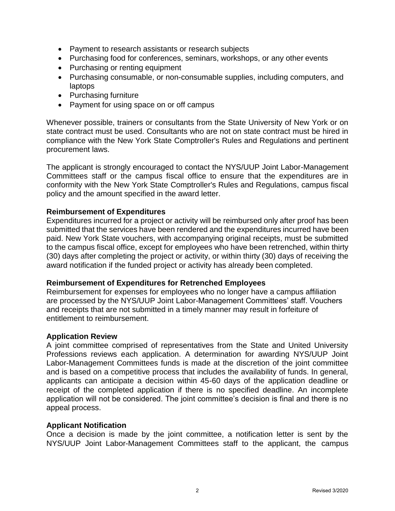- Payment to research assistants or research subjects
- Purchasing food for conferences, seminars, workshops, or any other events
- Purchasing or renting equipment
- Purchasing consumable, or non-consumable supplies, including computers, and laptops
- Purchasing furniture
- Payment for using space on or off campus

Whenever possible, trainers or consultants from the State University of New York or on state contract must be used. Consultants who are not on state contract must be hired in compliance with the New York State Comptroller's Rules and Regulations and pertinent procurement laws.

The applicant is strongly encouraged to contact the NYS/UUP Joint Labor-Management Committees staff or the campus fiscal office to ensure that the expenditures are in conformity with the New York State Comptroller's Rules and Regulations, campus fiscal policy and the amount specified in the award letter.

## **Reimbursement of Expenditures**

Expenditures incurred for a project or activity will be reimbursed only after proof has been submitted that the services have been rendered and the expenditures incurred have been paid. New York State vouchers, with accompanying original receipts, must be submitted to the campus fiscal office, except for employees who have been retrenched, within thirty (30) days after completing the project or activity, or within thirty (30) days of receiving the award notification if the funded project or activity has already been completed.

#### **Reimbursement of Expenditures for Retrenched Employees**

Reimbursement for expenses for employees who no longer have a campus affiliation are processed by the NYS/UUP Joint Labor-Management Committees' staff. Vouchers and receipts that are not submitted in a timely manner may result in forfeiture of entitlement to reimbursement.

#### **Application Review**

A joint committee comprised of representatives from the State and United University Professions reviews each application. A determination for awarding NYS/UUP Joint Labor-Management Committees funds is made at the discretion of the joint committee and is based on a competitive process that includes the availability of funds. In general, applicants can anticipate a decision within 45-60 days of the application deadline or receipt of the completed application if there is no specified deadline. An incomplete application will not be considered. The joint committee's decision is final and there is no appeal process.

#### **Applicant Notification**

Once a decision is made by the joint committee, a notification letter is sent by the NYS/UUP Joint Labor-Management Committees staff to the applicant, the campus